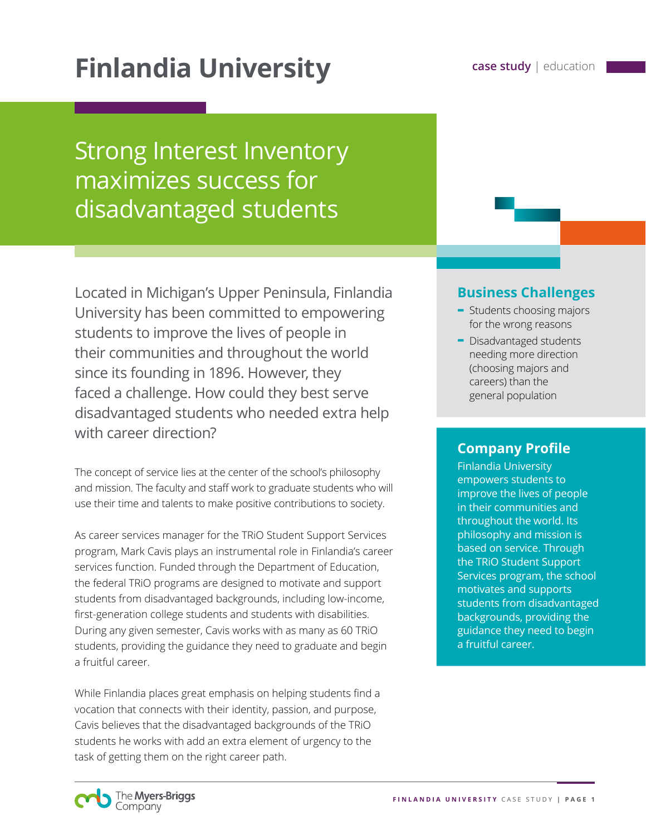# **Finlandia University case study | education**

## Strong Interest Inventory maximizes success for disadvantaged students

Located in Michigan's Upper Peninsula, Finlandia University has been committed to empowering students to improve the lives of people in their communities and throughout the world since its founding in 1896. However, they faced a challenge. How could they best serve disadvantaged students who needed extra help with career direction?

The concept of service lies at the center of the school's philosophy and mission. The faculty and staff work to graduate students who will use their time and talents to make positive contributions to society.

As career services manager for the TRiO Student Support Services program, Mark Cavis plays an instrumental role in Finlandia's career services function. Funded through the Department of Education, the federal TRiO programs are designed to motivate and support students from disadvantaged backgrounds, including low-income, first-generation college students and students with disabilities. During any given semester, Cavis works with as many as 60 TRiO students, providing the guidance they need to graduate and begin a fruitful career.

While Finlandia places great emphasis on helping students find a vocation that connects with their identity, passion, and purpose, Cavis believes that the disadvantaged backgrounds of the TRiO students he works with add an extra element of urgency to the task of getting them on the right career path.

### **Business Challenges**

- **-** Students choosing majors for the wrong reasons
- **-** Disadvantaged students needing more direction (choosing majors and careers) than the general population

#### **Company Profile**

Finlandia University empowers students to improve the lives of people in their communities and throughout the world. Its philosophy and mission is based on service. Through the TRiO Student Support Services program, the school motivates and supports students from disadvantaged backgrounds, providing the guidance they need to begin a fruitful career.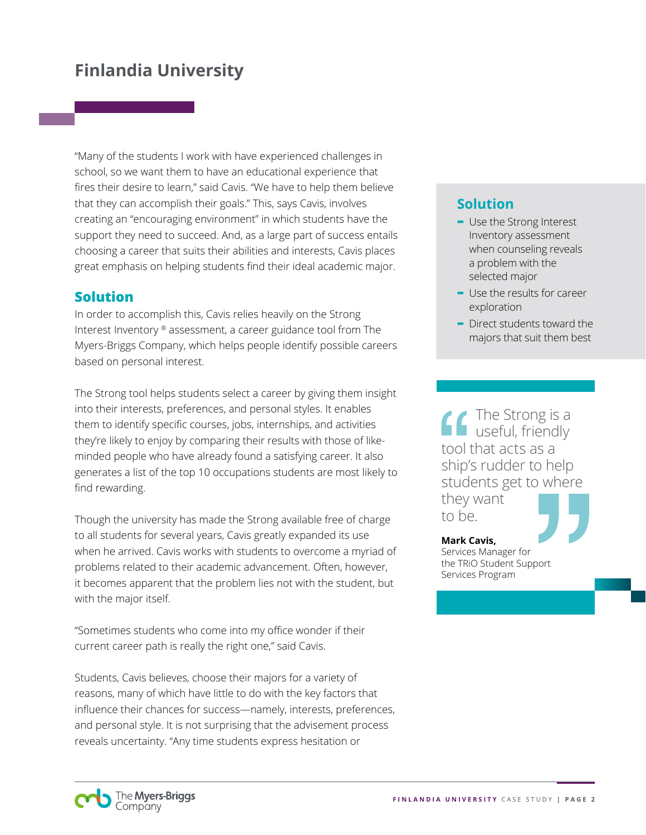"Many of the students I work with have experienced challenges in school, so we want them to have an educational experience that fires their desire to learn," said Cavis. "We have to help them believe that they can accomplish their goals." This, says Cavis, involves creating an "encouraging environment" in which students have the support they need to succeed. And, as a large part of success entails choosing a career that suits their abilities and interests, Cavis places great emphasis on helping students find their ideal academic major.

### **Solution**

In order to accomplish this, Cavis relies heavily on the Strong Interest Inventory ® assessment, a career guidance tool from The Myers-Briggs Company, which helps people identify possible careers based on personal interest.

The Strong tool helps students select a career by giving them insight into their interests, preferences, and personal styles. It enables them to identify specific courses, jobs, internships, and activities they're likely to enjoy by comparing their results with those of likeminded people who have already found a satisfying career. It also generates a list of the top 10 occupations students are most likely to find rewarding.

Though the university has made the Strong available free of charge to all students for several years, Cavis greatly expanded its use when he arrived. Cavis works with students to overcome a myriad of problems related to their academic advancement. Often, however, it becomes apparent that the problem lies not with the student, but with the major itself.

"Sometimes students who come into my office wonder if their current career path is really the right one," said Cavis.

Students, Cavis believes, choose their majors for a variety of reasons, many of which have little to do with the key factors that influence their chances for success—namely, interests, preferences, and personal style. It is not surprising that the advisement process reveals uncertainty. "Any time students express hesitation or

## **Solution**

- **-** Use the Strong Interest Inventory assessment when counseling reveals a problem with the selected major
- **-** Use the results for career exploration
- **-** Direct students toward the majors that suit them best

The Strong is a useful, friendly tool that acts as a ship's rudder to help students get to where they want

to be.

**Mark Cavis,** Services Manager for the TRiO Student Support Services Program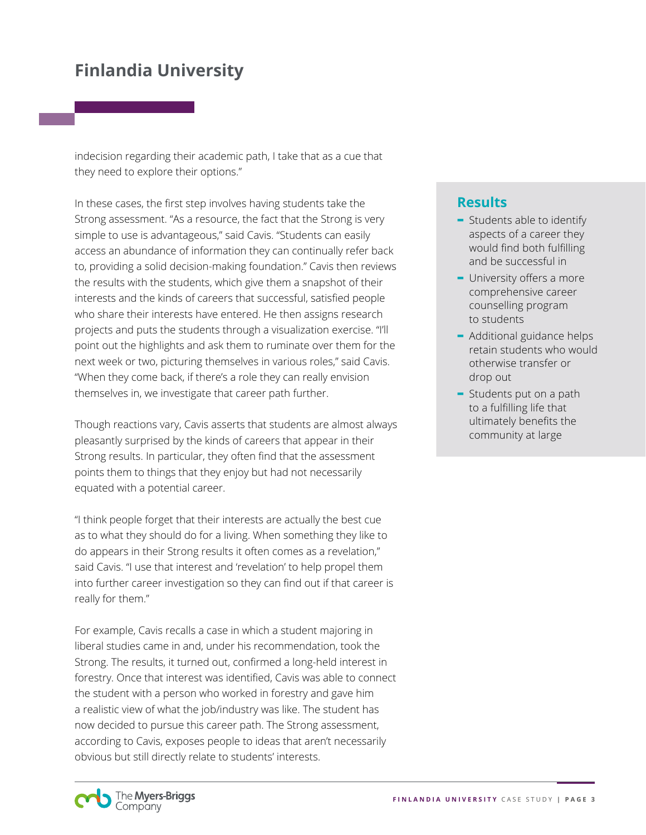indecision regarding their academic path, I take that as a cue that they need to explore their options."

In these cases, the first step involves having students take the Strong assessment. "As a resource, the fact that the Strong is very simple to use is advantageous," said Cavis. "Students can easily access an abundance of information they can continually refer back to, providing a solid decision-making foundation." Cavis then reviews the results with the students, which give them a snapshot of their interests and the kinds of careers that successful, satisfied people who share their interests have entered. He then assigns research projects and puts the students through a visualization exercise. "I'll point out the highlights and ask them to ruminate over them for the next week or two, picturing themselves in various roles," said Cavis. "When they come back, if there's a role they can really envision themselves in, we investigate that career path further.

Though reactions vary, Cavis asserts that students are almost always pleasantly surprised by the kinds of careers that appear in their Strong results. In particular, they often find that the assessment points them to things that they enjoy but had not necessarily equated with a potential career.

"I think people forget that their interests are actually the best cue as to what they should do for a living. When something they like to do appears in their Strong results it often comes as a revelation," said Cavis. "I use that interest and 'revelation' to help propel them into further career investigation so they can find out if that career is really for them."

For example, Cavis recalls a case in which a student majoring in liberal studies came in and, under his recommendation, took the Strong. The results, it turned out, confirmed a long-held interest in forestry. Once that interest was identified, Cavis was able to connect the student with a person who worked in forestry and gave him a realistic view of what the job/industry was like. The student has now decided to pursue this career path. The Strong assessment, according to Cavis, exposes people to ideas that aren't necessarily obvious but still directly relate to students' interests.

#### **Results**

- **-** Students able to identify aspects of a career they would find both fulfilling and be successful in
- **-** University offers a more comprehensive career counselling program to students
- **-** Additional guidance helps retain students who would otherwise transfer or drop out
- **-** Students put on a path to a fulfilling life that ultimately benefits the community at large

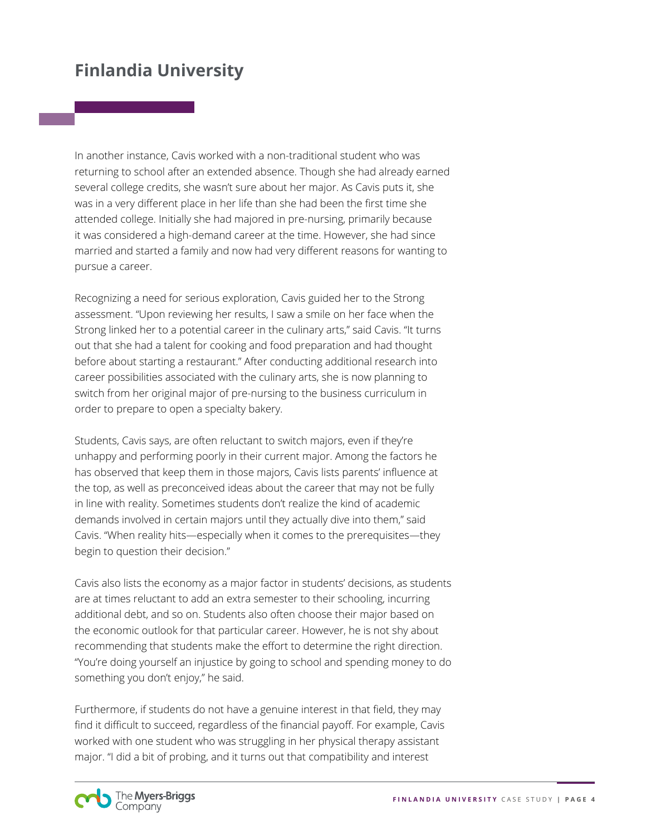In another instance, Cavis worked with a non-traditional student who was returning to school after an extended absence. Though she had already earned several college credits, she wasn't sure about her major. As Cavis puts it, she was in a very different place in her life than she had been the first time she attended college. Initially she had majored in pre-nursing, primarily because it was considered a high-demand career at the time. However, she had since married and started a family and now had very different reasons for wanting to pursue a career.

Recognizing a need for serious exploration, Cavis guided her to the Strong assessment. "Upon reviewing her results, I saw a smile on her face when the Strong linked her to a potential career in the culinary arts," said Cavis. "It turns out that she had a talent for cooking and food preparation and had thought before about starting a restaurant." After conducting additional research into career possibilities associated with the culinary arts, she is now planning to switch from her original major of pre-nursing to the business curriculum in order to prepare to open a specialty bakery.

Students, Cavis says, are often reluctant to switch majors, even if they're unhappy and performing poorly in their current major. Among the factors he has observed that keep them in those majors, Cavis lists parents' influence at the top, as well as preconceived ideas about the career that may not be fully in line with reality. Sometimes students don't realize the kind of academic demands involved in certain majors until they actually dive into them," said Cavis. "When reality hits—especially when it comes to the prerequisites—they begin to question their decision."

Cavis also lists the economy as a major factor in students' decisions, as students are at times reluctant to add an extra semester to their schooling, incurring additional debt, and so on. Students also often choose their major based on the economic outlook for that particular career. However, he is not shy about recommending that students make the effort to determine the right direction. "You're doing yourself an injustice by going to school and spending money to do something you don't enjoy," he said.

Furthermore, if students do not have a genuine interest in that field, they may find it difficult to succeed, regardless of the financial payoff. For example, Cavis worked with one student who was struggling in her physical therapy assistant major. "I did a bit of probing, and it turns out that compatibility and interest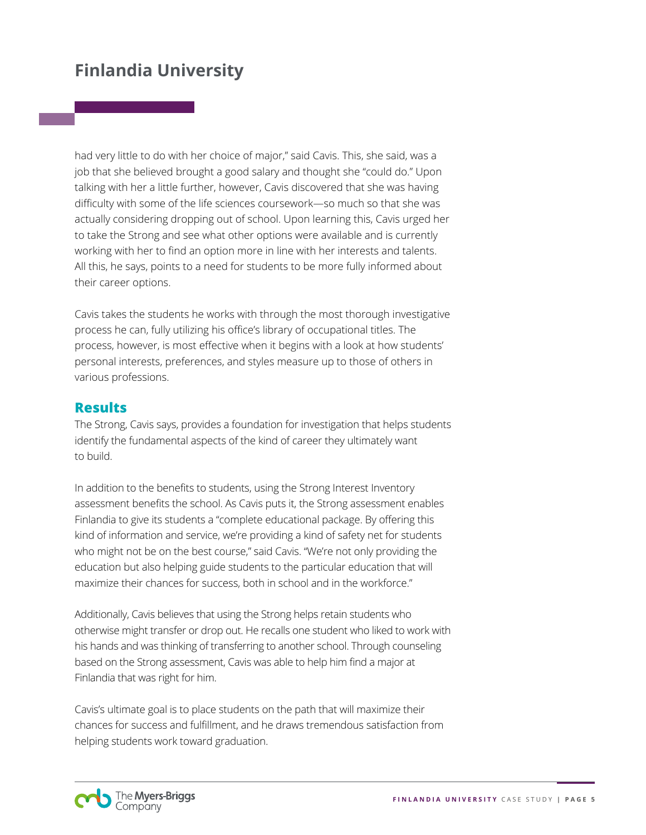had very little to do with her choice of major," said Cavis. This, she said, was a job that she believed brought a good salary and thought she "could do." Upon talking with her a little further, however, Cavis discovered that she was having difficulty with some of the life sciences coursework—so much so that she was actually considering dropping out of school. Upon learning this, Cavis urged her to take the Strong and see what other options were available and is currently working with her to find an option more in line with her interests and talents. All this, he says, points to a need for students to be more fully informed about their career options.

Cavis takes the students he works with through the most thorough investigative process he can, fully utilizing his office's library of occupational titles. The process, however, is most effective when it begins with a look at how students' personal interests, preferences, and styles measure up to those of others in various professions.

#### **Results**

The Strong, Cavis says, provides a foundation for investigation that helps students identify the fundamental aspects of the kind of career they ultimately want to build.

In addition to the benefits to students, using the Strong Interest Inventory assessment benefits the school. As Cavis puts it, the Strong assessment enables Finlandia to give its students a "complete educational package. By offering this kind of information and service, we're providing a kind of safety net for students who might not be on the best course," said Cavis. "We're not only providing the education but also helping guide students to the particular education that will maximize their chances for success, both in school and in the workforce."

Additionally, Cavis believes that using the Strong helps retain students who otherwise might transfer or drop out. He recalls one student who liked to work with his hands and was thinking of transferring to another school. Through counseling based on the Strong assessment, Cavis was able to help him find a major at Finlandia that was right for him.

Cavis's ultimate goal is to place students on the path that will maximize their chances for success and fulfillment, and he draws tremendous satisfaction from helping students work toward graduation.

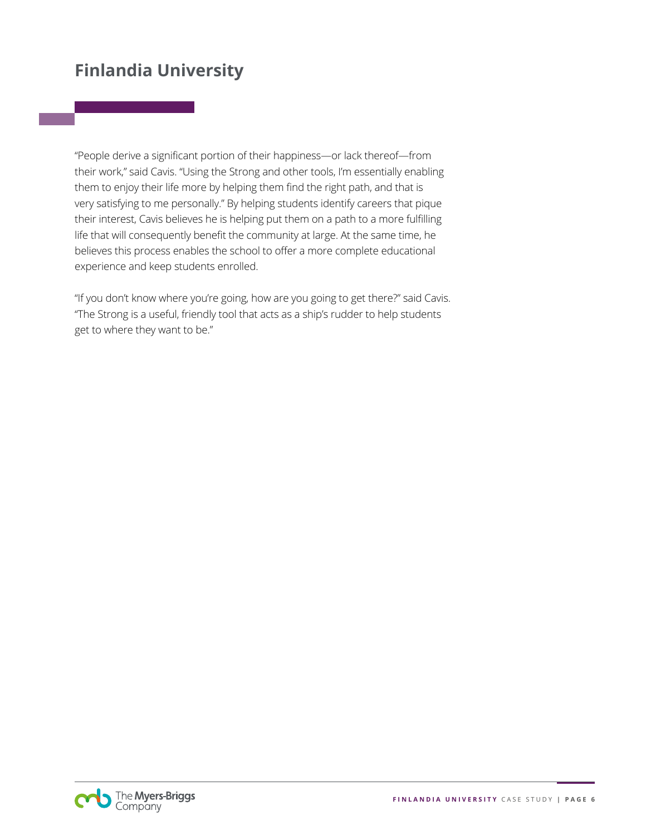"People derive a significant portion of their happiness—or lack thereof—from their work," said Cavis. "Using the Strong and other tools, I'm essentially enabling them to enjoy their life more by helping them find the right path, and that is very satisfying to me personally." By helping students identify careers that pique their interest, Cavis believes he is helping put them on a path to a more fulfilling life that will consequently benefit the community at large. At the same time, he believes this process enables the school to offer a more complete educational experience and keep students enrolled.

"If you don't know where you're going, how are you going to get there?" said Cavis. "The Strong is a useful, friendly tool that acts as a ship's rudder to help students get to where they want to be."